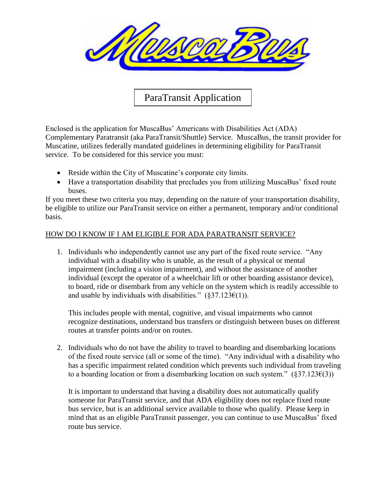

ParaTransit Application

Enclosed is the application for MuscaBus' Americans with Disabilities Act (ADA) Complementary Paratransit (aka ParaTransit/Shuttle) Service. MuscaBus, the transit provider for Muscatine, utilizes federally mandated guidelines in determining eligibility for ParaTransit service. To be considered for this service you must:

- Reside within the City of Muscatine's corporate city limits.
- Have a transportation disability that precludes you from utilizing MuscaBus' fixed route buses.

If you meet these two criteria you may, depending on the nature of your transportation disability, be eligible to utilize our ParaTransit service on either a permanent, temporary and/or conditional basis.

## HOW DO I KNOW IF I AM ELIGIBLE FOR ADA PARATRANSIT SERVICE?

1. Individuals who independently cannot use any part of the fixed route service. "Any individual with a disability who is unable, as the result of a physical or mental impairment (including a vision impairment), and without the assistance of another individual (except the operator of a wheelchair lift or other boarding assistance device), to board, ride or disembark from any vehicle on the system which is readily accessible to and usable by individuals with disabilities."  $(\frac{27.123}{6(1)})$ .

This includes people with mental, cognitive, and visual impairments who cannot recognize destinations, understand bus transfers or distinguish between buses on different routes at transfer points and/or on routes.

2. Individuals who do not have the ability to travel to boarding and disembarking locations of the fixed route service (all or some of the time). "Any individual with a disability who has a specific impairment related condition which prevents such individual from traveling to a boarding location or from a disembarking location on such system."  $(\S 37.123 \epsilon(3))$ 

It is important to understand that having a disability does not automatically qualify someone for ParaTransit service, and that ADA eligibility does not replace fixed route bus service, but is an additional service available to those who qualify. Please keep in mind that as an eligible ParaTransit passenger, you can continue to use MuscaBus' fixed route bus service.